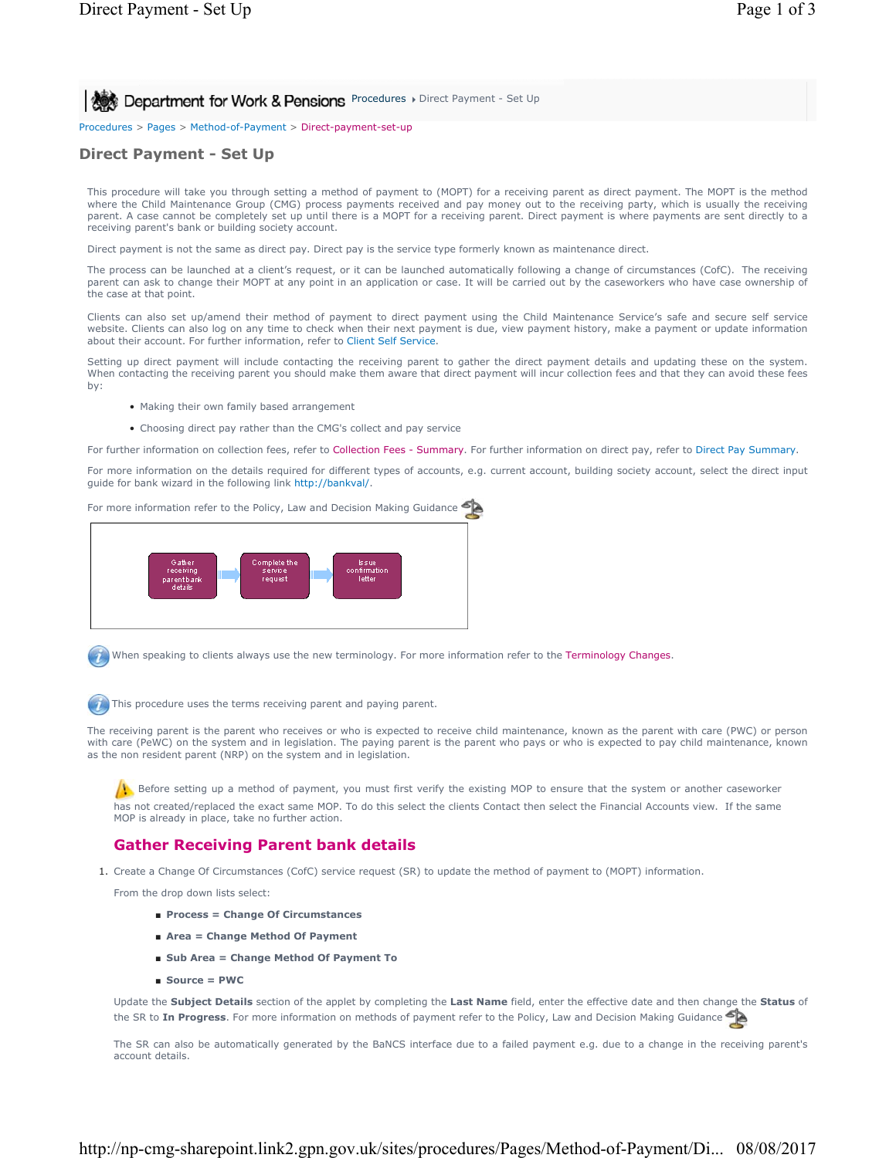**Procedures Department for Work & Pensions** Procedures Direct Payment - Set Up

Procedures > Pages > Method-of-Payment > Direct-payment-set-up

# **Direct Payment - Set Up**

This procedure will take you through setting a method of payment to (MOPT) for a receiving parent as direct payment. The MOPT is the method where the Child Maintenance Group (CMG) process payments received and pay money out to the receiving party, which is usually the receiving parent. A case cannot be completely set up until there is a MOPT for a receiving parent. Direct payment is where payments are sent directly to a receiving parent's bank or building society account.

Direct payment is not the same as direct pay. Direct pay is the service type formerly known as maintenance direct.

The process can be launched at a client's request, or it can be launched automatically following a change of circumstances (CofC). The receiving parent can ask to change their MOPT at any point in an application or case. It will be carried out by the caseworkers who have case ownership of the case at that point.

Clients can also set up/amend their method of payment to direct payment using the Child Maintenance Service's safe and secure self service website. Clients can also log on any time to check when their next payment is due, view payment history, make a payment or update information about their account. For further information, refer to Client Self Service.

Setting up direct payment will include contacting the receiving parent to gather the direct payment details and updating these on the system. When contacting the receiving parent you should make them aware that direct payment will incur collection fees and that they can avoid these fees by:

- Making their own family based arrangement
- Choosing direct pay rather than the CMG's collect and pay service

For further information on collection fees, refer to Collection Fees - Summary. For further information on direct pay, refer to Direct Pay Summary.

For more information on the details required for different types of accounts, e.g. current account, building society account, select the direct input guide for bank wizard in the following link http://bankval/.

For more information refer to the Policy, Law and Decision Making Guidance



When speaking to clients always use the new terminology. For more information refer to the Terminology Changes.

This procedure uses the terms receiving parent and paying parent.

The receiving parent is the parent who receives or who is expected to receive child maintenance, known as the parent with care (PWC) or person with care (PeWC) on the system and in legislation. The paying parent is the parent who pays or who is expected to pay child maintenance, known as the non resident parent (NRP) on the system and in legislation.

Before setting up a method of payment, you must first verify the existing MOP to ensure that the system or another caseworker has not created/replaced the exact same MOP. To do this select the clients Contact then select the Financial Accounts view. If the same MOP is already in place, take no further action.

## **Gather Receiving Parent bank details**

1. Create a Change Of Circumstances (CofC) service request (SR) to update the method of payment to (MOPT) information.

From the drop down lists select:

- **Process = Change Of Circumstances**
- **Area = Change Method Of Payment**
- **Sub Area = Change Method Of Payment To**
- **Source = PWC**

Update the **Subject Details** section of the applet by completing the **Last Name** field, enter the effective date and then change the **Status** of the SR to **In Progress**. For more information on methods of payment refer to the Policy, Law and Decision Making Guidance

The SR can also be automatically generated by the BaNCS interface due to a failed payment e.g. due to a change in the receiving parent's account details.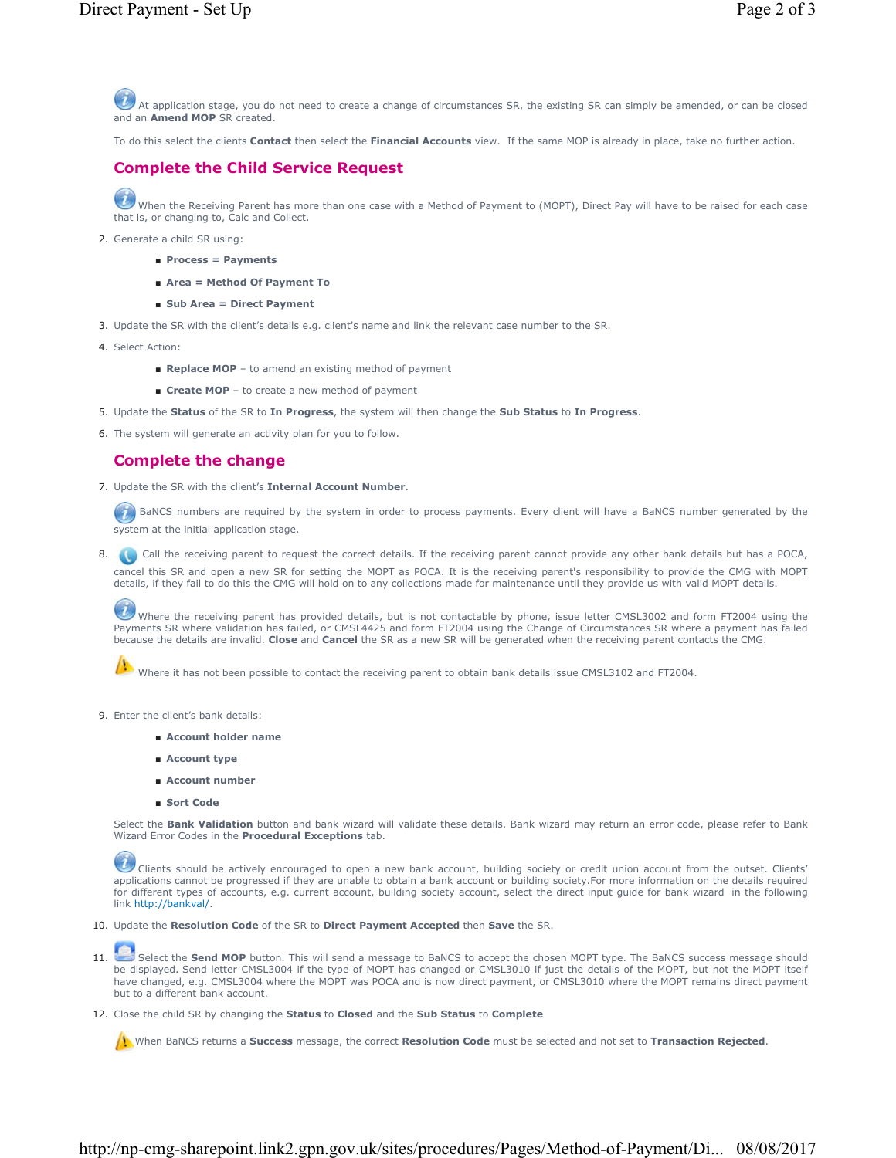At application stage, you do not need to create a change of circumstances SR, the existing SR can simply be amended, or can be closed and an **Amend MOP** SR created.

To do this select the clients **Contact** then select the **Financial Accounts** view. If the same MOP is already in place, take no further action.

# **Complete the Child Service Request**

When the Receiving Parent has more than one case with a Method of Payment to (MOPT), Direct Pay will have to be raised for each case that is, or changing to, Calc and Collect.

- 2. Generate a child SR using:
	- **Process = Payments**
	- **Area = Method Of Payment To**
	- **Sub Area = Direct Payment**
- 3. Update the SR with the client's details e.g. client's name and link the relevant case number to the SR.
- 4. Select Action:
	- **Replace MOP** to amend an existing method of payment
	- **Create MOP** to create a new method of payment
- 5. Update the **Status** of the SR to **In Progress**, the system will then change the **Sub Status** to **In Progress**.
- 6. The system will generate an activity plan for you to follow.

## **Complete the change**

7. Update the SR with the client's **Internal Account Number**.

BaNCS numbers are required by the system in order to process payments. Every client will have a BaNCS number generated by the system at the initial application stage.

8. Call the receiving parent to request the correct details. If the receiving parent cannot provide any other bank details but has a POCA, cancel this SR and open a new SR for setting the MOPT as POCA. It is the receiving parent's responsibility to provide the CMG with MOPT details, if they fail to do this the CMG will hold on to any collections made for maintenance until they provide us with valid MOPT details.

Where the receiving parent has provided details, but is not contactable by phone, issue letter CMSL3002 and form FT2004 using the Payments SR where validation has failed, or CMSL4425 and form FT2004 using the Change of Circumstances SR where a payment has failed because the details are invalid. **Close** and **Cancel** the SR as a new SR will be generated when the receiving parent contacts the CMG.

Where it has not been possible to contact the receiving parent to obtain bank details issue CMSL3102 and FT2004.

- 9. Enter the client's bank details:
	- **Account holder name**
	- **Account type**
	- **Account number**
	- **Sort Code**

Select the **Bank Validation** button and bank wizard will validate these details. Bank wizard may return an error code, please refer to Bank Wizard Error Codes in the **Procedural Exceptions** tab.

Clients should be actively encouraged to open a new bank account, building society or credit union account from the outset. Clients' applications cannot be progressed if they are unable to obtain a bank account or building society.For more information on the details required for different types of accounts, e.g. current account, building society account, select the direct input guide for bank wizard in the following link http://bankval/.

10. Update the **Resolution Code** of the SR to **Direct Payment Accepted** then **Save** the SR.

- Select the Send MOP button. This will send a message to BaNCS to accept the chosen MOPT type. The BaNCS success message should be displayed. Send letter CMSL3004 if the type of MOPT has changed or CMSL3010 if just the details of the MOPT, but not the MOPT itself have changed, e.g. CMSL3004 where the MOPT was POCA and is now direct payment, or CMSL3010 where the MOPT remains direct payment but to a different bank account. 11.
- Close the child SR by changing the **Status** to **Closed** and the **Sub Status** to **Complete** 12.

When BaNCS returns a **Success** message, the correct **Resolution Code** must be selected and not set to **Transaction Rejected**.